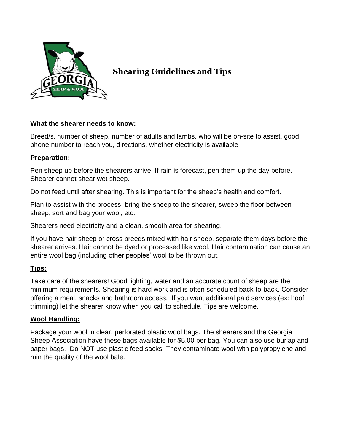

# **Shearing Guidelines and Tips**

## **What the shearer needs to know:**

Breed/s, number of sheep, number of adults and lambs, who will be on-site to assist, good phone number to reach you, directions, whether electricity is available

## **Preparation:**

Pen sheep up before the shearers arrive. If rain is forecast, pen them up the day before. Shearer cannot shear wet sheep.

Do not feed until after shearing. This is important for the sheep's health and comfort.

Plan to assist with the process: bring the sheep to the shearer, sweep the floor between sheep, sort and bag your wool, etc.

Shearers need electricity and a clean, smooth area for shearing.

If you have hair sheep or cross breeds mixed with hair sheep, separate them days before the shearer arrives. Hair cannot be dyed or processed like wool. Hair contamination can cause an entire wool bag (including other peoples' wool to be thrown out.

## **Tips:**

Take care of the shearers! Good lighting, water and an accurate count of sheep are the minimum requirements. Shearing is hard work and is often scheduled back-to-back. Consider offering a meal, snacks and bathroom access. If you want additional paid services (ex: hoof trimming) let the shearer know when you call to schedule. Tips are welcome.

## **Wool Handling:**

Package your wool in clear, perforated plastic wool bags. The shearers and the Georgia Sheep Association have these bags available for \$5.00 per bag. You can also use burlap and paper bags. Do NOT use plastic feed sacks. They contaminate wool with polypropylene and ruin the quality of the wool bale.